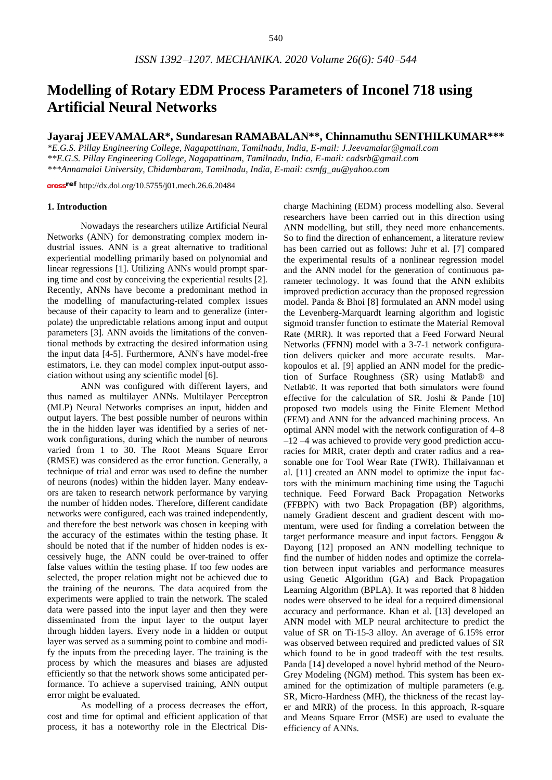# **Modelling of Rotary EDM Process Parameters of Inconel 718 using Artificial Neural Networks**

## **Jayaraj JEEVAMALAR\*, Sundaresan RAMABALAN\*\*, Chinnamuthu SENTHILKUMAR\*\*\***

*\*E.G.S. Pillay Engineering College, Nagapattinam, Tamilnadu, India, E-mail: J.Jeevamalar@gmail.com \*\*E.G.S. Pillay Engineering College, Nagapattinam, Tamilnadu, India, E-mail: cadsrb@gmail.com \*\*\*Annamalai University, Chidambaram, Tamilnadu, India, E-mail: csmfg\_au@yahoo.com*

cross<sup>ref</sup> <http://dx.doi.org/10.5755/j01.mech.26.6.20484>

#### **1. Introduction**

Nowadays the researchers utilize Artificial Neural Networks (ANN) for demonstrating complex modern industrial issues. ANN is a great alternative to traditional experiential modelling primarily based on polynomial and linear regressions [1]. Utilizing ANNs would prompt sparing time and cost by conceiving the experiential results [2]. Recently, ANNs have become a predominant method in the modelling of manufacturing-related complex issues because of their capacity to learn and to generalize (interpolate) the unpredictable relations among input and output parameters [3]. ANN avoids the limitations of the conventional methods by extracting the desired information using the input data [4-5]. Furthermore, ANN's have model-free estimators, i.e. they can model complex input-output association without using any scientific model [6].

ANN was configured with different layers, and thus named as multilayer ANNs. Multilayer Perceptron (MLP) Neural Networks comprises an input, hidden and output layers. The best possible number of neurons within the in the hidden layer was identified by a series of network configurations, during which the number of neurons varied from 1 to 30. The Root Means Square Error (RMSE) was considered as the error function. Generally, a technique of trial and error was used to define the number of neurons (nodes) within the hidden layer. Many endeavors are taken to research network performance by varying the number of hidden nodes. Therefore, different candidate networks were configured, each was trained independently, and therefore the best network was chosen in keeping with the accuracy of the estimates within the testing phase. It should be noted that if the number of hidden nodes is excessively huge, the ANN could be over-trained to offer false values within the testing phase. If too few nodes are selected, the proper relation might not be achieved due to the training of the neurons. The data acquired from the experiments were applied to train the network. The scaled data were passed into the input layer and then they were disseminated from the input layer to the output layer through hidden layers. Every node in a hidden or output layer was served as a summing point to combine and modify the inputs from the preceding layer. The training is the process by which the measures and biases are adjusted efficiently so that the network shows some anticipated performance. To achieve a supervised training, ANN output error might be evaluated.

As modelling of a process decreases the effort, cost and time for optimal and efficient application of that process, it has a noteworthy role in the Electrical Discharge Machining (EDM) process modelling also. Several researchers have been carried out in this direction using ANN modelling, but still, they need more enhancements. So to find the direction of enhancement, a literature review has been carried out as follows: Juhr et al. [7] compared the experimental results of a nonlinear regression model and the ANN model for the generation of continuous parameter technology. It was found that the ANN exhibits improved prediction accuracy than the proposed regression model. Panda & Bhoi [8] formulated an ANN model using the Levenberg-Marquardt learning algorithm and logistic sigmoid transfer function to estimate the Material Removal Rate (MRR). It was reported that a Feed Forward Neural Networks (FFNN) model with a 3-7-1 network configuration delivers quicker and more accurate results. Markopoulos et al. [9] applied an ANN model for the prediction of Surface Roughness (SR) using Matlab® and Netlab®. It was reported that both simulators were found effective for the calculation of SR. Joshi & Pande [10] proposed two models using the Finite Element Method (FEM) and ANN for the advanced machining process. An optimal ANN model with the network configuration of 4–8 –12 –4 was achieved to provide very good prediction accuracies for MRR, crater depth and crater radius and a reasonable one for Tool Wear Rate (TWR). Thillaivannan et al. [11] created an ANN model to optimize the input factors with the minimum machining time using the Taguchi technique. Feed Forward Back Propagation Networks (FFBPN) with two Back Propagation (BP) algorithms, namely Gradient descent and gradient descent with momentum, were used for finding a correlation between the target performance measure and input factors. Fenggou & Dayong [12] proposed an ANN modelling technique to find the number of hidden nodes and optimize the correlation between input variables and performance measures using Genetic Algorithm (GA) and Back Propagation Learning Algorithm (BPLA). It was reported that 8 hidden nodes were observed to be ideal for a required dimensional accuracy and performance. Khan et al. [13] developed an ANN model with MLP neural architecture to predict the value of SR on Ti-15-3 alloy. An average of 6.15% error was observed between required and predicted values of SR which found to be in good tradeoff with the test results. Panda [14] developed a novel hybrid method of the Neuro-Grey Modeling (NGM) method. This system has been examined for the optimization of multiple parameters (e.g. SR, Micro-Hardness (MH), the thickness of the recast layer and MRR) of the process. In this approach, R-square and Means Square Error (MSE) are used to evaluate the efficiency of ANNs.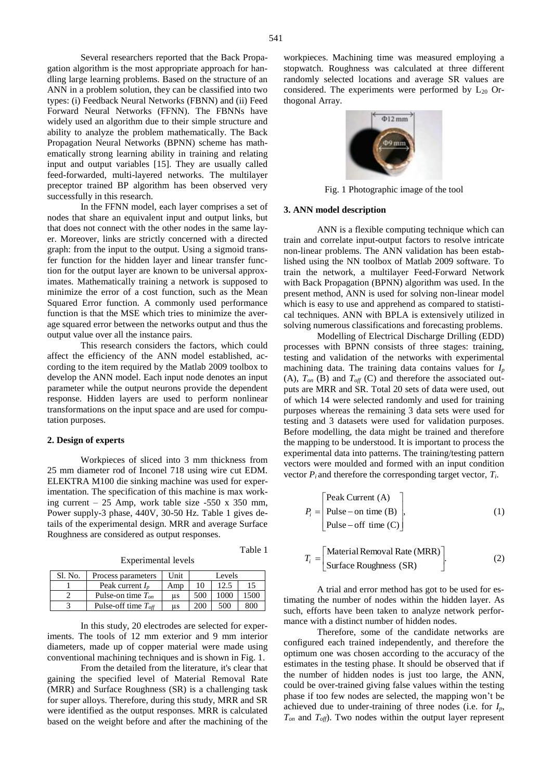Several researchers reported that the Back Propagation algorithm is the most appropriate approach for handling large learning problems. Based on the structure of an ANN in a problem solution, they can be classified into two types: (i) Feedback Neural Networks (FBNN) and (ii) Feed Forward Neural Networks (FFNN). The FBNNs have widely used an algorithm due to their simple structure and ability to analyze the problem mathematically. The Back Propagation Neural Networks (BPNN) scheme has mathematically strong learning ability in training and relating input and output variables [15]. They are usually called feed-forwarded, multi-layered networks. The multilayer preceptor trained BP algorithm has been observed very successfully in this research.

In the FFNN model, each layer comprises a set of nodes that share an equivalent input and output links, but that does not connect with the other nodes in the same layer. Moreover, links are strictly concerned with a directed graph: from the input to the output. Using a sigmoid transfer function for the hidden layer and linear transfer function for the output layer are known to be universal approximates. Mathematically training a network is supposed to minimize the error of a cost function, such as the Mean Squared Error function. A commonly used performance function is that the MSE which tries to minimize the average squared error between the networks output and thus the output value over all the instance pairs.

This research considers the factors, which could affect the efficiency of the ANN model established, according to the item required by the Matlab 2009 toolbox to develop the ANN model. Each input node denotes an input parameter while the output neurons provide the dependent response. Hidden layers are used to perform nonlinear transformations on the input space and are used for computation purposes.

#### **2. Design of experts**

Workpieces of sliced into 3 mm thickness from 25 mm diameter rod of Inconel 718 using wire cut EDM. ELEKTRA M100 die sinking machine was used for experimentation. The specification of this machine is max working current – 25 Amp, work table size -550 x 350 mm, Power supply-3 phase, 440V, 30-50 Hz. Table 1 gives details of the experimental design. MRR and average Surface Roughness are considered as output responses.

Experimental levels

Table 1

| Sl. No. | Process parameters       | Unit | Levels |      |      |
|---------|--------------------------|------|--------|------|------|
|         | Peak current $I_n$       | Amp  | 10     | 12.5 | 15   |
|         | Pulse-on time $T_{on}$   | μs   | 500    | 1000 | 1500 |
|         | Pulse-off time $T_{off}$ | us   | 200    | 500  | 800  |

In this study, 20 electrodes are selected for experiments. The tools of 12 mm exterior and 9 mm interior diameters, made up of copper material were made using conventional machining techniques and is shown in Fig. 1.

From the detailed from the literature, it's clear that gaining the specified level of Material Removal Rate (MRR) and Surface Roughness (SR) is a challenging task for super alloys. Therefore, during this study, MRR and SR were identified as the output responses. MRR is calculated based on the weight before and after the machining of the

workpieces. Machining time was measured employing a stopwatch. Roughness was calculated at three different randomly selected locations and average SR values are considered. The experiments were performed by  $L_{20}$  Orthogonal Array.



Fig. 1 Photographic image of the tool

#### **3. ANN model description**

ANN is a flexible computing technique which can train and correlate input-output factors to resolve intricate non-linear problems. The ANN validation has been established using the NN toolbox of Matlab 2009 software. To train the network, a multilayer Feed-Forward Network with Back Propagation (BPNN) algorithm was used. In the present method, ANN is used for solving non-linear model which is easy to use and apprehend as compared to statistical techniques. ANN with BPLA is extensively utilized in solving numerous classifications and forecasting problems.

Modelling of Electrical Discharge Drilling (EDD) processes with BPNN consists of three stages: training, testing and validation of the networks with experimental machining data. The training data contains values for *I<sup>p</sup>* (A),  $T_{on}$  (B) and  $T_{off}$  (C) and therefore the associated outputs are MRR and SR. Total 20 sets of data were used, out of which 14 were selected randomly and used for training purposes whereas the remaining 3 data sets were used for testing and 3 datasets were used for validation purposes. Before modelling, the data might be trained and therefore the mapping to be understood. It is important to process the experimental data into patterns. The training/testing pattern vectors were moulded and formed with an input condition vector  $P_i$  and therefore the corresponding target vector,  $T_i$ .

$$
P_i = \begin{bmatrix} \text{Peak Current (A)} \\ \text{Pulse - on time (B)} \\ \text{Pulse - off time (C)} \end{bmatrix},
$$
 (1)

$$
T_i = \begin{bmatrix} Material\,Renoval\,Rate\,(MRR) \\ Surface\,Roughness\,(SR) \end{bmatrix} .
$$
 (2)

A trial and error method has got to be used for estimating the number of nodes within the hidden layer. As such, efforts have been taken to analyze network performance with a distinct number of hidden nodes.

Therefore, some of the candidate networks are configured each trained independently, and therefore the optimum one was chosen according to the accuracy of the estimates in the testing phase. It should be observed that if the number of hidden nodes is just too large, the ANN, could be over-trained giving false values within the testing phase if too few nodes are selected, the mapping won't be achieved due to under-training of three nodes (i.e. for *Ip*, *Ton* and *Toff*). Two nodes within the output layer represent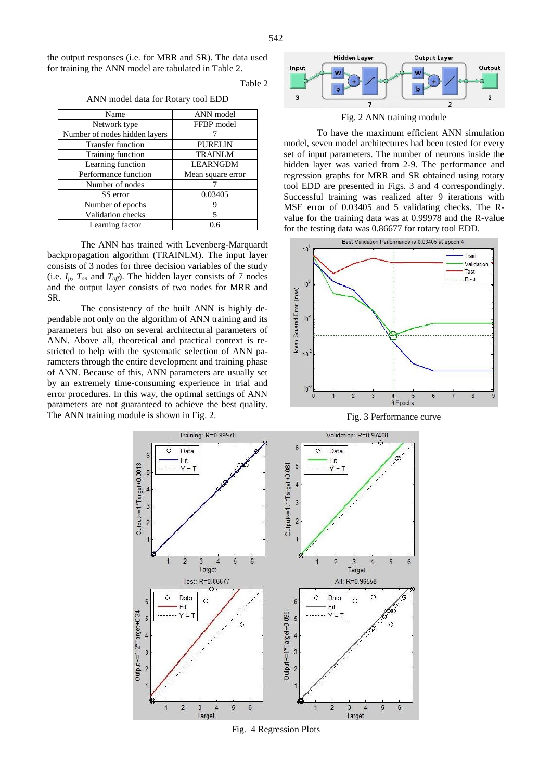the output responses (i.e. for MRR and SR). The data used for training the ANN model are tabulated in Table 2.

Table 2

ANN model data for Rotary tool EDD

| Name                          | ANN model         |  |  |
|-------------------------------|-------------------|--|--|
| Network type                  | FFBP model        |  |  |
| Number of nodes hidden layers |                   |  |  |
| <b>Transfer function</b>      | <b>PURELIN</b>    |  |  |
| Training function             | <b>TRAINLM</b>    |  |  |
| Learning function             | <b>LEARNGDM</b>   |  |  |
| Performance function          | Mean square error |  |  |
| Number of nodes               |                   |  |  |
| SS error                      | 0.03405           |  |  |
| Number of epochs              |                   |  |  |
| Validation checks             | 5                 |  |  |
| Learning factor               | 0.6               |  |  |

The ANN has trained with Levenberg-Marquardt backpropagation algorithm (TRAINLM). The input layer consists of 3 nodes for three decision variables of the study (i.e.  $I_p$ ,  $T_{on}$  and  $T_{off}$ ). The hidden layer consists of 7 nodes and the output layer consists of two nodes for MRR and SR.

The consistency of the built ANN is highly dependable not only on the algorithm of ANN training and its parameters but also on several architectural parameters of ANN. Above all, theoretical and practical context is restricted to help with the systematic selection of ANN parameters through the entire development and training phase of ANN. Because of this, ANN parameters are usually set by an extremely time-consuming experience in trial and error procedures. In this way, the optimal settings of ANN parameters are not guaranteed to achieve the best quality. The ANN training module is shown in Fig. 2.



Fig. 2 ANN training module

To have the maximum efficient ANN simulation model, seven model architectures had been tested for every set of input parameters. The number of neurons inside the hidden layer was varied from 2-9. The performance and regression graphs for MRR and SR obtained using rotary tool EDD are presented in Figs. 3 and 4 correspondingly. Successful training was realized after 9 iterations with MSE error of 0.03405 and 5 validating checks. The Rvalue for the training data was at 0.99978 and the R-value for the testing data was 0.86677 for rotary tool EDD.



Fig. 3 Performance curve



Fig. 4 Regression Plots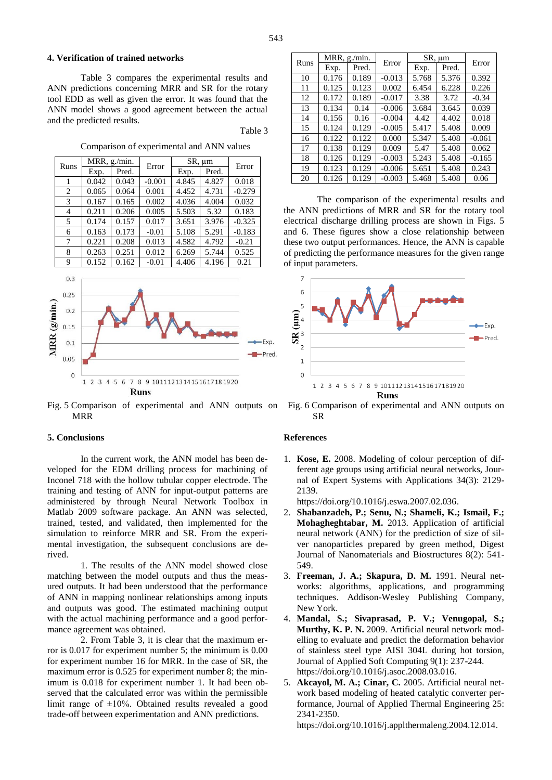#### **4. Verification of trained networks**

Table 3 compares the experimental results and ANN predictions concerning MRR and SR for the rotary tool EDD as well as given the error. It was found that the ANN model shows a good agreement between the actual and the predicted results.

Table 3

Comparison of experimental and ANN values

| Runs | MRR, g./min. |       | Error    | $SR, \mu m$ | Error |          |
|------|--------------|-------|----------|-------------|-------|----------|
|      | Exp.         | Pred. |          | Exp.        | Pred. |          |
| 1    | 0.042        | 0.043 | $-0.001$ | 4.845       | 4.827 | 0.018    |
| 2    | 0.065        | 0.064 | 0.001    | 4.452       | 4.731 | $-0.279$ |
| 3    | 0.167        | 0.165 | 0.002    | 4.036       | 4.004 | 0.032    |
| 4    | 0.211        | 0.206 | 0.005    | 5.503       | 5.32  | 0.183    |
| 5    | 0.174        | 0.157 | 0.017    | 3.651       | 3.976 | $-0.325$ |
| 6    | 0.163        | 0.173 | $-0.01$  | 5.108       | 5.291 | $-0.183$ |
| 7    | 0.221        | 0.208 | 0.013    | 4.582       | 4.792 | $-0.21$  |
| 8    | 0.263        | 0.251 | 0.012    | 6.269       | 5.744 | 0.525    |
| 9    | 0.152        | 0.162 | $-0.01$  | 4.406       | 4.196 | 0.21     |



Fig. 5 Comparison of experimental and ANN outputs on MRR

#### **5. Conclusions**

In the current work, the ANN model has been developed for the EDM drilling process for machining of Inconel 718 with the hollow tubular copper electrode. The training and testing of ANN for input-output patterns are administered by through Neural Network Toolbox in Matlab 2009 software package. An ANN was selected, trained, tested, and validated, then implemented for the simulation to reinforce MRR and SR. From the experimental investigation, the subsequent conclusions are derived.

1. The results of the ANN model showed close matching between the model outputs and thus the measured outputs. It had been understood that the performance of ANN in mapping nonlinear relationships among inputs and outputs was good. The estimated machining output with the actual machining performance and a good performance agreement was obtained.

2. From Table 3, it is clear that the maximum error is 0.017 for experiment number 5; the minimum is 0.00 for experiment number 16 for MRR. In the case of SR, the maximum error is 0.525 for experiment number 8; the minimum is 0.018 for experiment number 1. It had been observed that the calculated error was within the permissible limit range of  $\pm 10\%$ . Obtained results revealed a good trade-off between experimentation and ANN predictions.

| Runs | MRR, g./min. |       | Error    | $SR$ , $\mu$ m | Error |          |
|------|--------------|-------|----------|----------------|-------|----------|
|      | Exp.         | Pred. |          | Exp.           | Pred. |          |
| 10   | 0.176        | 0.189 | $-0.013$ | 5.768          | 5.376 | 0.392    |
| 11   | 0.125        | 0.123 | 0.002    | 6.454          | 6.228 | 0.226    |
| 12   | 0.172        | 0.189 | $-0.017$ | 3.38           | 3.72  | $-0.34$  |
| 13   | 0.134        | 0.14  | $-0.006$ | 3.684          | 3.645 | 0.039    |
| 14   | 0.156        | 0.16  | $-0.004$ | 4.42           | 4.402 | 0.018    |
| 15   | 0.124        | 0.129 | $-0.005$ | 5.417          | 5.408 | 0.009    |
| 16   | 0.122        | 0.122 | 0.000    | 5.347          | 5.408 | $-0.061$ |
| 17   | 0.138        | 0.129 | 0.009    | 5.47           | 5.408 | 0.062    |
| 18   | 0.126        | 0.129 | $-0.003$ | 5.243          | 5.408 | $-0.165$ |
| 19   | 0.123        | 0.129 | $-0.006$ | 5.651          | 5.408 | 0.243    |
| 20   | 0.126        | 0.129 | $-0.003$ | 5.468          | 5.408 | 0.06     |

The comparison of the experimental results and the ANN predictions of MRR and SR for the rotary tool electrical discharge drilling process are shown in Figs. 5 and 6. These figures show a close relationship between these two output performances. Hence, the ANN is capable of predicting the performance measures for the given range of input parameters.



Fig. 6 Comparison of experimental and ANN outputs on SR

#### **References**

1. **Kose, E.** 2008. Modeling of colour perception of different age groups using artificial neural networks, Journal of Expert Systems with Applications 34(3): 2129- 2139.

[https://doi.org/10.1016/j.eswa.2007.02.036.](https://doi.org/10.1016/j.eswa.2007.02.036)

- 2. **Shabanzadeh, P.; Senu, N.; Shameli, K.; Ismail, F.; Mohagheghtabar, M.** 2013. Application of artificial neural network (ANN) for the prediction of size of silver nanoparticles prepared by green method, Digest Journal of Nanomaterials and Biostructures 8(2): 541- 549.
- 3. **Freeman, J. A.; Skapura, D. M.** 1991. Neural networks: algorithms, applications, and programming techniques. Addison-Wesley Publishing Company, New York.
- 4. **Mandal, S.; Sivaprasad, P. V.; Venugopal, S.; Murthy, K. P. N.** 2009. Artificial neural network modelling to evaluate and predict the deformation behavior of stainless steel type AISI 304L during hot torsion, Journal of Applied Soft Computing 9(1): 237-244. [https://doi.org/10.1016/j.asoc.2008.03.016.](https://doi.org/10.1016/j.asoc.2008.03.016)
- 5. **Akcayol, M. A.; Cinar, C.** 2005. Artificial neural network based modeling of heated catalytic converter performance, Journal of Applied Thermal Engineering 25: 2341-2350.

[https://doi.org/10.1016/j.applthermaleng.2004.12.014.](https://doi.org/10.1016/j.applthermaleng.2004.12.014)